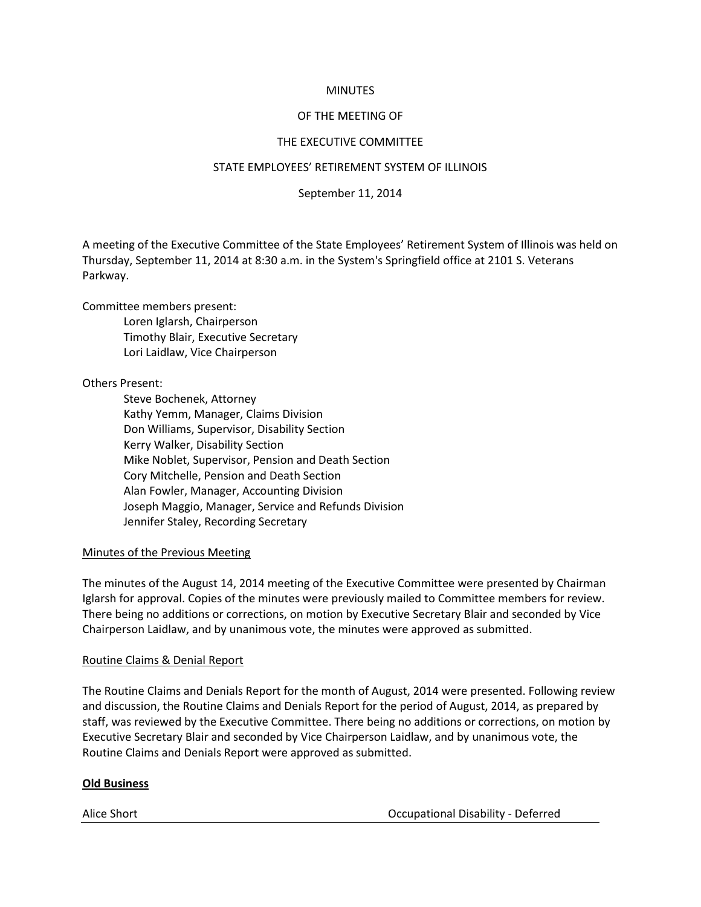### **MINUTES**

# OF THE MEETING OF

# THE EXECUTIVE COMMITTEE

### STATE EMPLOYEES' RETIREMENT SYSTEM OF ILLINOIS

# September 11, 2014

A meeting of the Executive Committee of the State Employees' Retirement System of Illinois was held on Thursday, September 11, 2014 at 8:30 a.m. in the System's Springfield office at 2101 S. Veterans Parkway.

Committee members present:

Loren Iglarsh, Chairperson Timothy Blair, Executive Secretary Lori Laidlaw, Vice Chairperson

# Others Present:

Steve Bochenek, Attorney Kathy Yemm, Manager, Claims Division Don Williams, Supervisor, Disability Section Kerry Walker, Disability Section Mike Noblet, Supervisor, Pension and Death Section Cory Mitchelle, Pension and Death Section Alan Fowler, Manager, Accounting Division Joseph Maggio, Manager, Service and Refunds Division Jennifer Staley, Recording Secretary

### Minutes of the Previous Meeting

The minutes of the August 14, 2014 meeting of the Executive Committee were presented by Chairman Iglarsh for approval. Copies of the minutes were previously mailed to Committee members for review. There being no additions or corrections, on motion by Executive Secretary Blair and seconded by Vice Chairperson Laidlaw, and by unanimous vote, the minutes were approved as submitted.

# Routine Claims & Denial Report

The Routine Claims and Denials Report for the month of August, 2014 were presented. Following review and discussion, the Routine Claims and Denials Report for the period of August, 2014, as prepared by staff, was reviewed by the Executive Committee. There being no additions or corrections, on motion by Executive Secretary Blair and seconded by Vice Chairperson Laidlaw, and by unanimous vote, the Routine Claims and Denials Report were approved as submitted.

### **Old Business**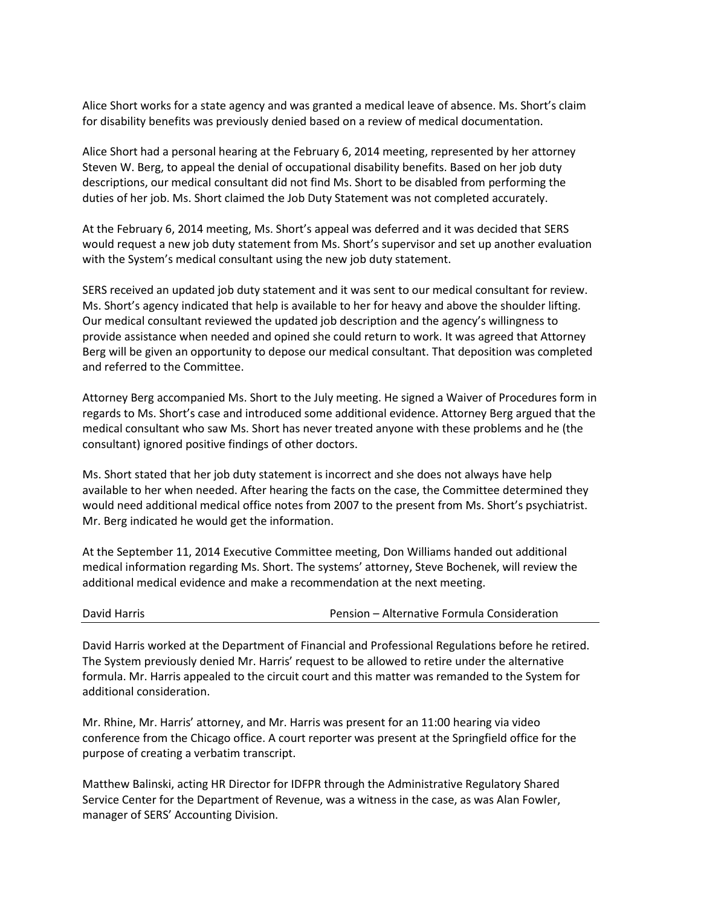Alice Short works for a state agency and was granted a medical leave of absence. Ms. Short's claim for disability benefits was previously denied based on a review of medical documentation.

Alice Short had a personal hearing at the February 6, 2014 meeting, represented by her attorney Steven W. Berg, to appeal the denial of occupational disability benefits. Based on her job duty descriptions, our medical consultant did not find Ms. Short to be disabled from performing the duties of her job. Ms. Short claimed the Job Duty Statement was not completed accurately.

At the February 6, 2014 meeting, Ms. Short's appeal was deferred and it was decided that SERS would request a new job duty statement from Ms. Short's supervisor and set up another evaluation with the System's medical consultant using the new job duty statement.

SERS received an updated job duty statement and it was sent to our medical consultant for review. Ms. Short's agency indicated that help is available to her for heavy and above the shoulder lifting. Our medical consultant reviewed the updated job description and the agency's willingness to provide assistance when needed and opined she could return to work. It was agreed that Attorney Berg will be given an opportunity to depose our medical consultant. That deposition was completed and referred to the Committee.

Attorney Berg accompanied Ms. Short to the July meeting. He signed a Waiver of Procedures form in regards to Ms. Short's case and introduced some additional evidence. Attorney Berg argued that the medical consultant who saw Ms. Short has never treated anyone with these problems and he (the consultant) ignored positive findings of other doctors.

Ms. Short stated that her job duty statement is incorrect and she does not always have help available to her when needed. After hearing the facts on the case, the Committee determined they would need additional medical office notes from 2007 to the present from Ms. Short's psychiatrist. Mr. Berg indicated he would get the information.

At the September 11, 2014 Executive Committee meeting, Don Williams handed out additional medical information regarding Ms. Short. The systems' attorney, Steve Bochenek, will review the additional medical evidence and make a recommendation at the next meeting.

David Harris worked at the Department of Financial and Professional Regulations before he retired. The System previously denied Mr. Harris' request to be allowed to retire under the alternative formula. Mr. Harris appealed to the circuit court and this matter was remanded to the System for additional consideration.

Mr. Rhine, Mr. Harris' attorney, and Mr. Harris was present for an 11:00 hearing via video conference from the Chicago office. A court reporter was present at the Springfield office for the purpose of creating a verbatim transcript.

Matthew Balinski, acting HR Director for IDFPR through the Administrative Regulatory Shared Service Center for the Department of Revenue, was a witness in the case, as was Alan Fowler, manager of SERS' Accounting Division.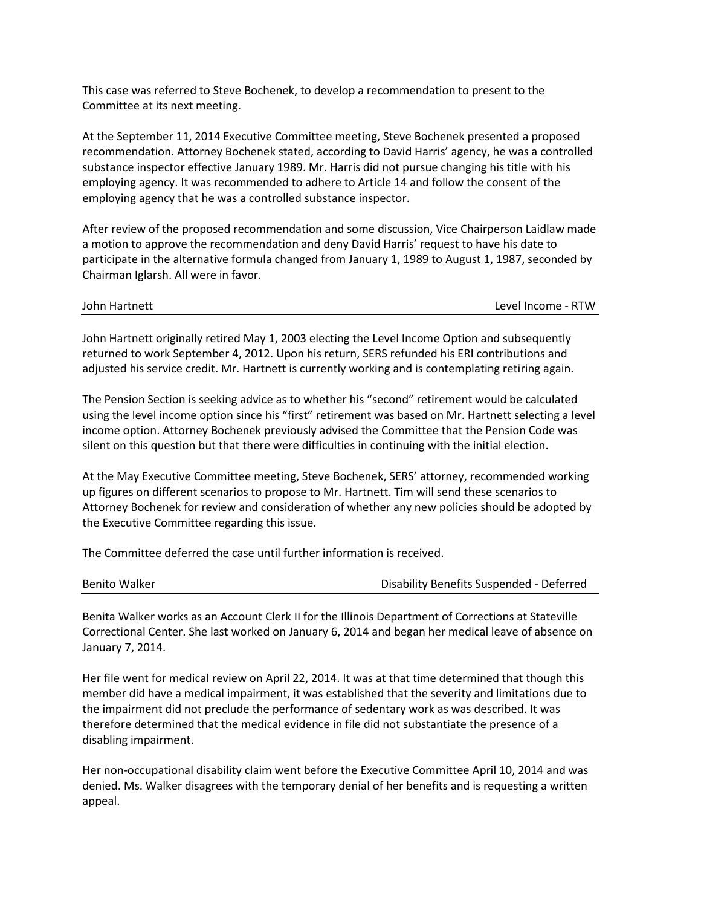This case was referred to Steve Bochenek, to develop a recommendation to present to the Committee at its next meeting.

At the September 11, 2014 Executive Committee meeting, Steve Bochenek presented a proposed recommendation. Attorney Bochenek stated, according to David Harris' agency, he was a controlled substance inspector effective January 1989. Mr. Harris did not pursue changing his title with his employing agency. It was recommended to adhere to Article 14 and follow the consent of the employing agency that he was a controlled substance inspector.

After review of the proposed recommendation and some discussion, Vice Chairperson Laidlaw made a motion to approve the recommendation and deny David Harris' request to have his date to participate in the alternative formula changed from January 1, 1989 to August 1, 1987, seconded by Chairman Iglarsh. All were in favor.

John Hartnett Level Income - RTW

John Hartnett originally retired May 1, 2003 electing the Level Income Option and subsequently returned to work September 4, 2012. Upon his return, SERS refunded his ERI contributions and adjusted his service credit. Mr. Hartnett is currently working and is contemplating retiring again.

The Pension Section is seeking advice as to whether his "second" retirement would be calculated using the level income option since his "first" retirement was based on Mr. Hartnett selecting a level income option. Attorney Bochenek previously advised the Committee that the Pension Code was silent on this question but that there were difficulties in continuing with the initial election.

At the May Executive Committee meeting, Steve Bochenek, SERS' attorney, recommended working up figures on different scenarios to propose to Mr. Hartnett. Tim will send these scenarios to Attorney Bochenek for review and consideration of whether any new policies should be adopted by the Executive Committee regarding this issue.

The Committee deferred the case until further information is received.

| Benito Walker | Disability Benefits Suspended - Deferred |
|---------------|------------------------------------------|
|               |                                          |

Benita Walker works as an Account Clerk II for the Illinois Department of Corrections at Stateville Correctional Center. She last worked on January 6, 2014 and began her medical leave of absence on January 7, 2014.

Her file went for medical review on April 22, 2014. It was at that time determined that though this member did have a medical impairment, it was established that the severity and limitations due to the impairment did not preclude the performance of sedentary work as was described. It was therefore determined that the medical evidence in file did not substantiate the presence of a disabling impairment.

Her non-occupational disability claim went before the Executive Committee April 10, 2014 and was denied. Ms. Walker disagrees with the temporary denial of her benefits and is requesting a written appeal.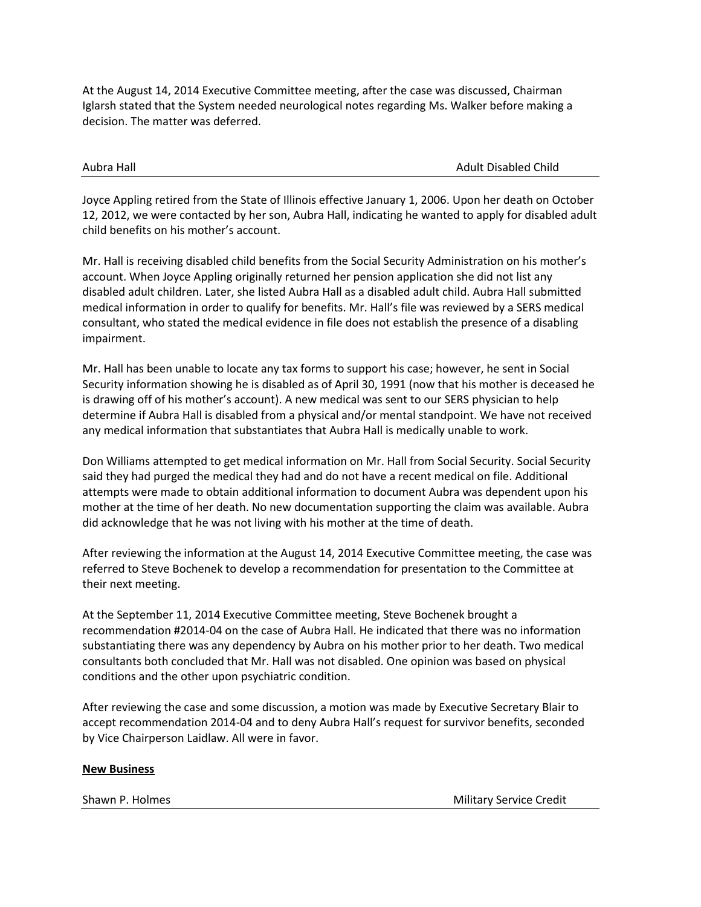At the August 14, 2014 Executive Committee meeting, after the case was discussed, Chairman Iglarsh stated that the System needed neurological notes regarding Ms. Walker before making a decision. The matter was deferred.

Aubra Hall Adult Disabled Child

Joyce Appling retired from the State of Illinois effective January 1, 2006. Upon her death on October 12, 2012, we were contacted by her son, Aubra Hall, indicating he wanted to apply for disabled adult child benefits on his mother's account.

Mr. Hall is receiving disabled child benefits from the Social Security Administration on his mother's account. When Joyce Appling originally returned her pension application she did not list any disabled adult children. Later, she listed Aubra Hall as a disabled adult child. Aubra Hall submitted medical information in order to qualify for benefits. Mr. Hall's file was reviewed by a SERS medical consultant, who stated the medical evidence in file does not establish the presence of a disabling impairment.

Mr. Hall has been unable to locate any tax forms to support his case; however, he sent in Social Security information showing he is disabled as of April 30, 1991 (now that his mother is deceased he is drawing off of his mother's account). A new medical was sent to our SERS physician to help determine if Aubra Hall is disabled from a physical and/or mental standpoint. We have not received any medical information that substantiates that Aubra Hall is medically unable to work.

Don Williams attempted to get medical information on Mr. Hall from Social Security. Social Security said they had purged the medical they had and do not have a recent medical on file. Additional attempts were made to obtain additional information to document Aubra was dependent upon his mother at the time of her death. No new documentation supporting the claim was available. Aubra did acknowledge that he was not living with his mother at the time of death.

After reviewing the information at the August 14, 2014 Executive Committee meeting, the case was referred to Steve Bochenek to develop a recommendation for presentation to the Committee at their next meeting.

At the September 11, 2014 Executive Committee meeting, Steve Bochenek brought a recommendation #2014-04 on the case of Aubra Hall. He indicated that there was no information substantiating there was any dependency by Aubra on his mother prior to her death. Two medical consultants both concluded that Mr. Hall was not disabled. One opinion was based on physical conditions and the other upon psychiatric condition.

After reviewing the case and some discussion, a motion was made by Executive Secretary Blair to accept recommendation 2014-04 and to deny Aubra Hall's request for survivor benefits, seconded by Vice Chairperson Laidlaw. All were in favor.

# **New Business**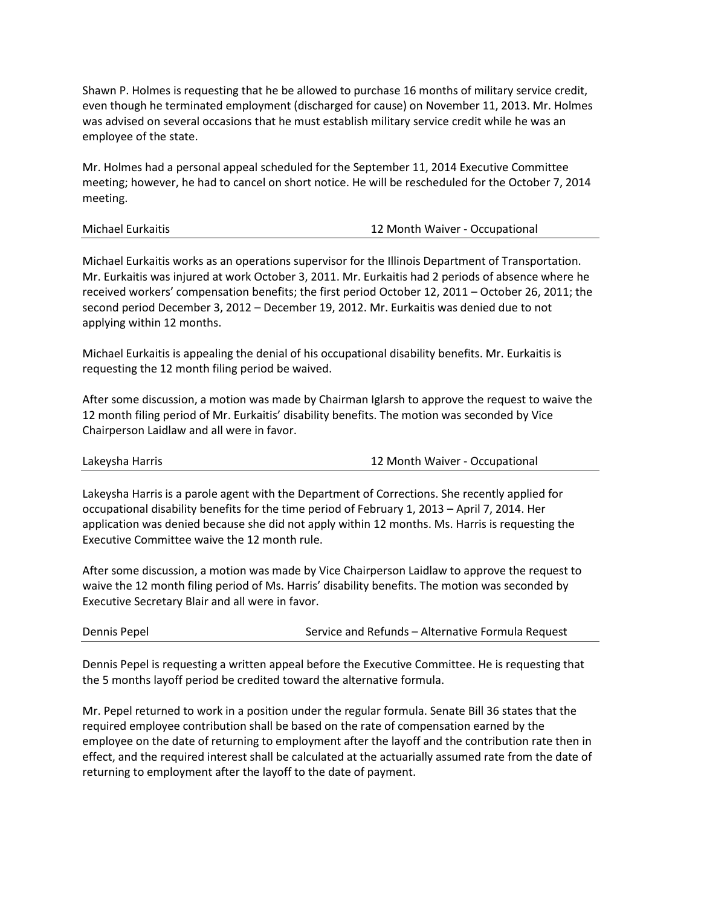Shawn P. Holmes is requesting that he be allowed to purchase 16 months of military service credit, even though he terminated employment (discharged for cause) on November 11, 2013. Mr. Holmes was advised on several occasions that he must establish military service credit while he was an employee of the state.

Mr. Holmes had a personal appeal scheduled for the September 11, 2014 Executive Committee meeting; however, he had to cancel on short notice. He will be rescheduled for the October 7, 2014 meeting.

| Michael Eurkaitis | 12 Month Waiver - Occupational |
|-------------------|--------------------------------|
|                   |                                |

Michael Eurkaitis works as an operations supervisor for the Illinois Department of Transportation. Mr. Eurkaitis was injured at work October 3, 2011. Mr. Eurkaitis had 2 periods of absence where he received workers' compensation benefits; the first period October 12, 2011 – October 26, 2011; the second period December 3, 2012 – December 19, 2012. Mr. Eurkaitis was denied due to not applying within 12 months.

Michael Eurkaitis is appealing the denial of his occupational disability benefits. Mr. Eurkaitis is requesting the 12 month filing period be waived.

After some discussion, a motion was made by Chairman Iglarsh to approve the request to waive the 12 month filing period of Mr. Eurkaitis' disability benefits. The motion was seconded by Vice Chairperson Laidlaw and all were in favor.

Lakeysha Harris 12 Month Waiver - Occupational

Lakeysha Harris is a parole agent with the Department of Corrections. She recently applied for occupational disability benefits for the time period of February 1, 2013 – April 7, 2014. Her application was denied because she did not apply within 12 months. Ms. Harris is requesting the Executive Committee waive the 12 month rule.

After some discussion, a motion was made by Vice Chairperson Laidlaw to approve the request to waive the 12 month filing period of Ms. Harris' disability benefits. The motion was seconded by Executive Secretary Blair and all were in favor.

| Dennis Pepel | Service and Refunds - Alternative Formula Request |
|--------------|---------------------------------------------------|
|--------------|---------------------------------------------------|

Dennis Pepel is requesting a written appeal before the Executive Committee. He is requesting that the 5 months layoff period be credited toward the alternative formula.

Mr. Pepel returned to work in a position under the regular formula. Senate Bill 36 states that the required employee contribution shall be based on the rate of compensation earned by the employee on the date of returning to employment after the layoff and the contribution rate then in effect, and the required interest shall be calculated at the actuarially assumed rate from the date of returning to employment after the layoff to the date of payment.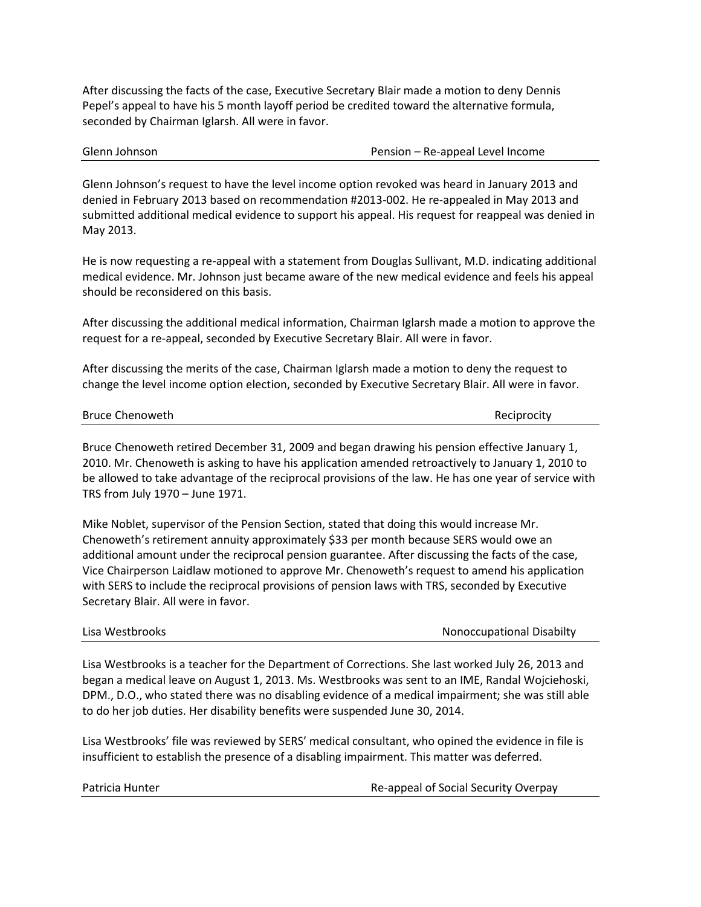After discussing the facts of the case, Executive Secretary Blair made a motion to deny Dennis Pepel's appeal to have his 5 month layoff period be credited toward the alternative formula, seconded by Chairman Iglarsh. All were in favor.

| Glenn Johnson | Pension - Re-appeal Level Income |
|---------------|----------------------------------|
|               |                                  |

Glenn Johnson's request to have the level income option revoked was heard in January 2013 and denied in February 2013 based on recommendation #2013-002. He re-appealed in May 2013 and submitted additional medical evidence to support his appeal. His request for reappeal was denied in May 2013.

He is now requesting a re-appeal with a statement from Douglas Sullivant, M.D. indicating additional medical evidence. Mr. Johnson just became aware of the new medical evidence and feels his appeal should be reconsidered on this basis.

After discussing the additional medical information, Chairman Iglarsh made a motion to approve the request for a re-appeal, seconded by Executive Secretary Blair. All were in favor.

After discussing the merits of the case, Chairman Iglarsh made a motion to deny the request to change the level income option election, seconded by Executive Secretary Blair. All were in favor.

### Bruce Chenoweth **Reciprocity Reciprocity**

Bruce Chenoweth retired December 31, 2009 and began drawing his pension effective January 1, 2010. Mr. Chenoweth is asking to have his application amended retroactively to January 1, 2010 to be allowed to take advantage of the reciprocal provisions of the law. He has one year of service with TRS from July 1970 – June 1971.

Mike Noblet, supervisor of the Pension Section, stated that doing this would increase Mr. Chenoweth's retirement annuity approximately \$33 per month because SERS would owe an additional amount under the reciprocal pension guarantee. After discussing the facts of the case, Vice Chairperson Laidlaw motioned to approve Mr. Chenoweth's request to amend his application with SERS to include the reciprocal provisions of pension laws with TRS, seconded by Executive Secretary Blair. All were in favor.

Lisa Westbrooks Nonoccupational Disabilty

Lisa Westbrooks is a teacher for the Department of Corrections. She last worked July 26, 2013 and began a medical leave on August 1, 2013. Ms. Westbrooks was sent to an IME, Randal Wojciehoski, DPM., D.O., who stated there was no disabling evidence of a medical impairment; she was still able to do her job duties. Her disability benefits were suspended June 30, 2014.

Lisa Westbrooks' file was reviewed by SERS' medical consultant, who opined the evidence in file is insufficient to establish the presence of a disabling impairment. This matter was deferred.

Re-appeal of Social Security Overpay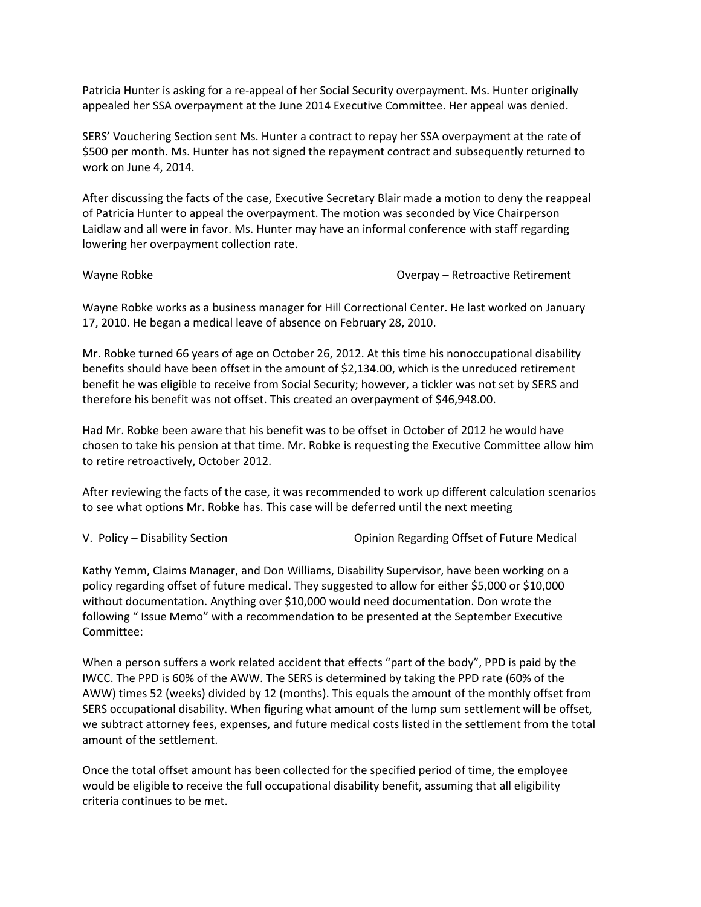Patricia Hunter is asking for a re-appeal of her Social Security overpayment. Ms. Hunter originally appealed her SSA overpayment at the June 2014 Executive Committee. Her appeal was denied.

SERS' Vouchering Section sent Ms. Hunter a contract to repay her SSA overpayment at the rate of \$500 per month. Ms. Hunter has not signed the repayment contract and subsequently returned to work on June 4, 2014.

After discussing the facts of the case, Executive Secretary Blair made a motion to deny the reappeal of Patricia Hunter to appeal the overpayment. The motion was seconded by Vice Chairperson Laidlaw and all were in favor. Ms. Hunter may have an informal conference with staff regarding lowering her overpayment collection rate.

| Wayne Robke |
|-------------|
|-------------|

Overpay – Retroactive Retirement

Wayne Robke works as a business manager for Hill Correctional Center. He last worked on January 17, 2010. He began a medical leave of absence on February 28, 2010.

Mr. Robke turned 66 years of age on October 26, 2012. At this time his nonoccupational disability benefits should have been offset in the amount of \$2,134.00, which is the unreduced retirement benefit he was eligible to receive from Social Security; however, a tickler was not set by SERS and therefore his benefit was not offset. This created an overpayment of \$46,948.00.

Had Mr. Robke been aware that his benefit was to be offset in October of 2012 he would have chosen to take his pension at that time. Mr. Robke is requesting the Executive Committee allow him to retire retroactively, October 2012.

After reviewing the facts of the case, it was recommended to work up different calculation scenarios to see what options Mr. Robke has. This case will be deferred until the next meeting

| V. Policy – Disability Section | Opinion Regarding Offset of Future Medical |
|--------------------------------|--------------------------------------------|
|--------------------------------|--------------------------------------------|

Kathy Yemm, Claims Manager, and Don Williams, Disability Supervisor, have been working on a policy regarding offset of future medical. They suggested to allow for either \$5,000 or \$10,000 without documentation. Anything over \$10,000 would need documentation. Don wrote the following " Issue Memo" with a recommendation to be presented at the September Executive Committee:

When a person suffers a work related accident that effects "part of the body", PPD is paid by the IWCC. The PPD is 60% of the AWW. The SERS is determined by taking the PPD rate (60% of the AWW) times 52 (weeks) divided by 12 (months). This equals the amount of the monthly offset from SERS occupational disability. When figuring what amount of the lump sum settlement will be offset, we subtract attorney fees, expenses, and future medical costs listed in the settlement from the total amount of the settlement.

Once the total offset amount has been collected for the specified period of time, the employee would be eligible to receive the full occupational disability benefit, assuming that all eligibility criteria continues to be met.